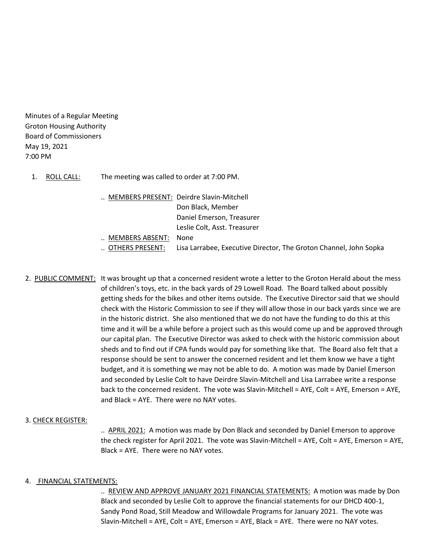Minutes of a Regular Meeting Groton Housing Authority Board of Commissioners May 19, 2021 7:00 PM

- 1. ROLL CALL: The meeting was called to order at 7:00 PM.
	- .. MEMBERS PRESENT: Deirdre Slavin-Mitchell Don Black, Member Daniel Emerson, Treasurer Leslie Colt, Asst. Treasurer
	- .. MEMBERS ABSENT: None
	- .. OTHERS PRESENT: Lisa Larrabee, Executive Director, The Groton Channel, John Sopka
- 2. PUBLIC COMMENT: It was brought up that a concerned resident wrote a letter to the Groton Herald about the mess of children's toys, etc. in the back yards of 29 Lowell Road. The Board talked about possibly getting sheds for the bikes and other items outside. The Executive Director said that we should check with the Historic Commission to see if they will allow those in our back yards since we are in the historic district. She also mentioned that we do not have the funding to do this at this time and it will be a while before a project such as this would come up and be approved through our capital plan. The Executive Director was asked to check with the historic commission about sheds and to find out if CPA funds would pay for something like that. The Board also felt that a response should be sent to answer the concerned resident and let them know we have a tight budget, and it is something we may not be able to do. A motion was made by Daniel Emerson and seconded by Leslie Colt to have Deirdre Slavin-Mitchell and Lisa Larrabee write a response back to the concerned resident. The vote was Slavin-Mitchell = AYE, Colt = AYE, Emerson = AYE, and Black = AYE. There were no NAY votes.

### 3. CHECK REGISTER:

.. APRIL 2021: A motion was made by Don Black and seconded by Daniel Emerson to approve the check register for April 2021. The vote was Slavin-Mitchell = AYE, Colt = AYE, Emerson = AYE, Black = AYE. There were no NAY votes.

### 4. FINANCIAL STATEMENTS:

.. REVIEW AND APPROVE JANUARY 2021 FINANCIAL STATEMENTS: A motion was made by Don Black and seconded by Leslie Colt to approve the financial statements for our DHCD 400-1, Sandy Pond Road, Still Meadow and Willowdale Programs for January 2021. The vote was Slavin-Mitchell = AYE, Colt = AYE, Emerson = AYE, Black = AYE. There were no NAY votes.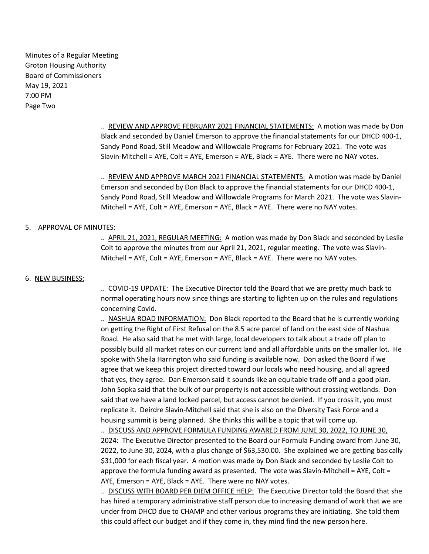Minutes of a Regular Meeting Groton Housing Authority Board of Commissioners May 19, 2021 7:00 PM Page Two

> .. REVIEW AND APPROVE FEBRUARY 2021 FINANCIAL STATEMENTS: A motion was made by Don Black and seconded by Daniel Emerson to approve the financial statements for our DHCD 400-1, Sandy Pond Road, Still Meadow and Willowdale Programs for February 2021. The vote was Slavin-Mitchell = AYE, Colt = AYE, Emerson = AYE, Black = AYE. There were no NAY votes.

> .. REVIEW AND APPROVE MARCH 2021 FINANCIAL STATEMENTS: A motion was made by Daniel Emerson and seconded by Don Black to approve the financial statements for our DHCD 400-1, Sandy Pond Road, Still Meadow and Willowdale Programs for March 2021. The vote was Slavin-Mitchell = AYE, Colt = AYE, Emerson = AYE, Black = AYE. There were no NAY votes.

## 5. APPROVAL OF MINUTES:

.. APRIL 21, 2021, REGULAR MEETING: A motion was made by Don Black and seconded by Leslie Colt to approve the minutes from our April 21, 2021, regular meeting. The vote was Slavin-Mitchell = AYE, Colt = AYE, Emerson = AYE, Black = AYE. There were no NAY votes.

## 6. NEW BUSINESS:

.. COVID-19 UPDATE: The Executive Director told the Board that we are pretty much back to normal operating hours now since things are starting to lighten up on the rules and regulations concerning Covid.

.. NASHUA ROAD INFORMATION: Don Black reported to the Board that he is currently working on getting the Right of First Refusal on the 8.5 acre parcel of land on the east side of Nashua Road. He also said that he met with large, local developers to talk about a trade off plan to possibly build all market rates on our current land and all affordable units on the smaller lot. He spoke with Sheila Harrington who said funding is available now. Don asked the Board if we agree that we keep this project directed toward our locals who need housing, and all agreed that yes, they agree. Dan Emerson said it sounds like an equitable trade off and a good plan. John Sopka said that the bulk of our property is not accessible without crossing wetlands. Don said that we have a land locked parcel, but access cannot be denied. If you cross it, you must replicate it. Deirdre Slavin-Mitchell said that she is also on the Diversity Task Force and a housing summit is being planned. She thinks this will be a topic that will come up.

.. DISCUSS AND APPROVE FORMULA FUNDING AWARED FROM JUNE 30, 2022, TO JUNE 30, 2024: The Executive Director presented to the Board our Formula Funding award from June 30, 2022, to June 30, 2024, with a plus change of \$63,530.00. She explained we are getting basically \$31,000 for each fiscal year. A motion was made by Don Black and seconded by Leslie Colt to approve the formula funding award as presented. The vote was Slavin-Mitchell = AYE, Colt = AYE, Emerson = AYE, Black = AYE. There were no NAY votes.

.. DISCUSS WITH BOARD PER DIEM OFFICE HELP: The Executive Director told the Board that she has hired a temporary administrative staff person due to increasing demand of work that we are under from DHCD due to CHAMP and other various programs they are initiating. She told them this could affect our budget and if they come in, they mind find the new person here.